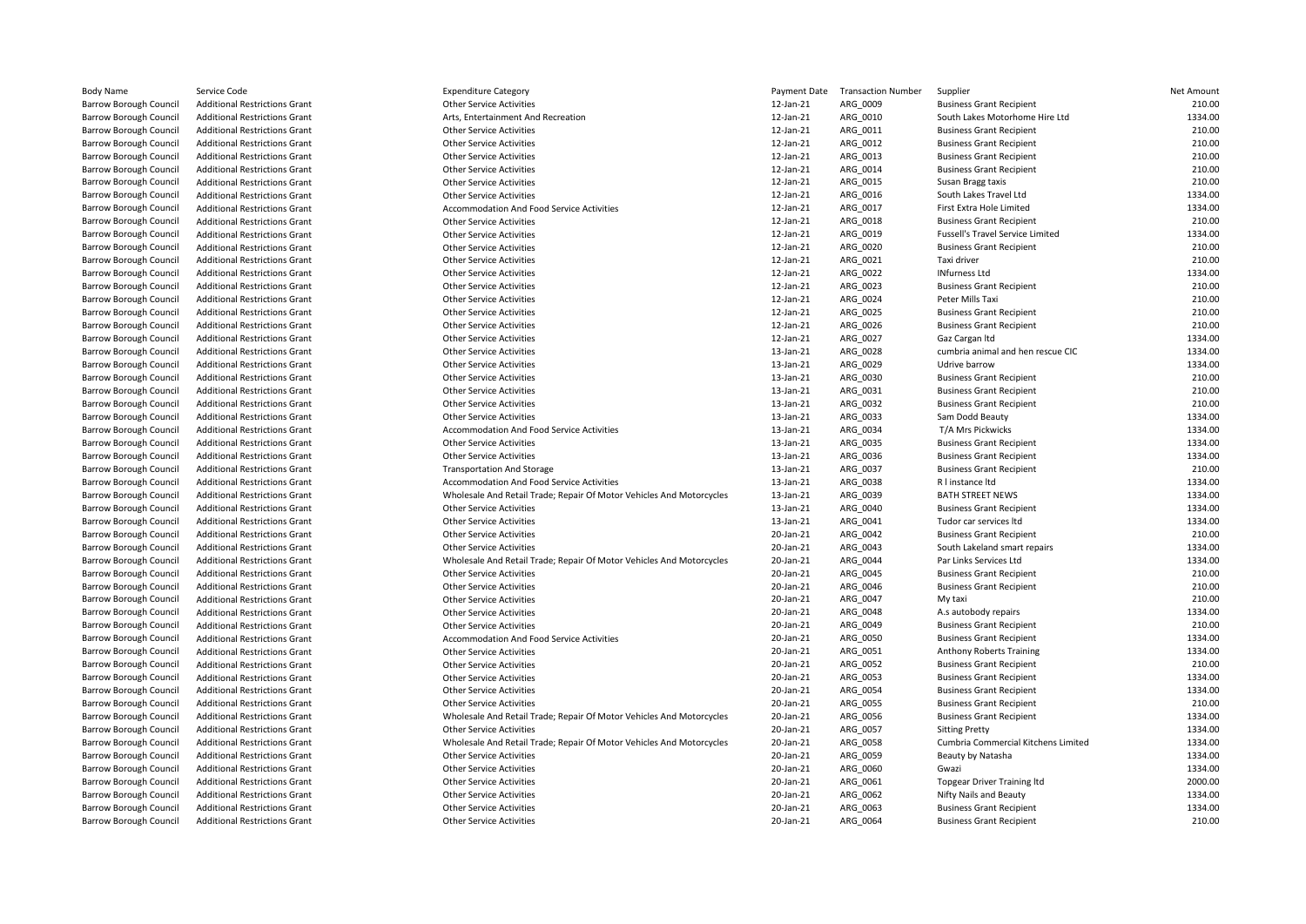| Body Name                     | Service Code                         | <b>Expenditure Category</b>                                          | Payment Date | <b>Transaction Number</b> | Supplier                                | Net Amount |
|-------------------------------|--------------------------------------|----------------------------------------------------------------------|--------------|---------------------------|-----------------------------------------|------------|
| Barrow Borough Council        | <b>Additional Restrictions Grant</b> | <b>Other Service Activities</b>                                      | 12-Jan-21    | ARG 0009                  | <b>Business Grant Recipient</b>         | 210.00     |
| Barrow Borough Council        | <b>Additional Restrictions Grant</b> | Arts, Entertainment And Recreation                                   | 12-Jan-21    | ARG 0010                  | South Lakes Motorhome Hire Ltd          | 1334.00    |
| Barrow Borough Council        | <b>Additional Restrictions Grant</b> | <b>Other Service Activities</b>                                      | 12-Jan-21    | ARG 0011                  | <b>Business Grant Recipient</b>         | 210.00     |
| Barrow Borough Council        | <b>Additional Restrictions Grant</b> | <b>Other Service Activities</b>                                      | 12-Jan-21    | ARG 0012                  | <b>Business Grant Recipient</b>         | 210.00     |
| Barrow Borough Council        | <b>Additional Restrictions Grant</b> | <b>Other Service Activities</b>                                      | 12-Jan-21    | ARG_0013                  | <b>Business Grant Recipient</b>         | 210.00     |
| Barrow Borough Council        | <b>Additional Restrictions Grant</b> | <b>Other Service Activities</b>                                      | 12-Jan-21    | ARG 0014                  | <b>Business Grant Recipient</b>         | 210.00     |
| Barrow Borough Council        | <b>Additional Restrictions Grant</b> | <b>Other Service Activities</b>                                      | 12-Jan-21    | ARG 0015                  | Susan Bragg taxis                       | 210.00     |
| Barrow Borough Council        | <b>Additional Restrictions Grant</b> | <b>Other Service Activities</b>                                      | 12-Jan-21    | ARG 0016                  | South Lakes Travel Ltd                  | 1334.00    |
| Barrow Borough Council        | <b>Additional Restrictions Grant</b> | Accommodation And Food Service Activities                            | 12-Jan-21    | ARG 0017                  | First Extra Hole Limited                | 1334.00    |
| <b>Barrow Borough Council</b> | <b>Additional Restrictions Grant</b> | <b>Other Service Activities</b>                                      | 12-Jan-21    | ARG_0018                  | <b>Business Grant Recipient</b>         | 210.00     |
| Barrow Borough Council        | <b>Additional Restrictions Grant</b> | <b>Other Service Activities</b>                                      | 12-Jan-21    | ARG 0019                  | <b>Fussell's Travel Service Limited</b> | 1334.00    |
| Barrow Borough Council        | <b>Additional Restrictions Grant</b> | <b>Other Service Activities</b>                                      | 12-Jan-21    | ARG 0020                  | <b>Business Grant Recipient</b>         | 210.00     |
| Barrow Borough Council        | <b>Additional Restrictions Grant</b> | <b>Other Service Activities</b>                                      | 12-Jan-21    | ARG_0021                  | Taxi driver                             | 210.00     |
| Barrow Borough Council        | <b>Additional Restrictions Grant</b> | <b>Other Service Activities</b>                                      | 12-Jan-21    | ARG 0022                  | <b>INfurness Ltd</b>                    | 1334.00    |
| Barrow Borough Council        | <b>Additional Restrictions Grant</b> | <b>Other Service Activities</b>                                      | 12-Jan-21    | ARG 0023                  | <b>Business Grant Recipient</b>         | 210.00     |
| Barrow Borough Council        | <b>Additional Restrictions Grant</b> | <b>Other Service Activities</b>                                      | 12-Jan-21    | ARG 0024                  | Peter Mills Taxi                        | 210.00     |
| Barrow Borough Council        | <b>Additional Restrictions Grant</b> | <b>Other Service Activities</b>                                      | 12-Jan-21    | ARG_0025                  | <b>Business Grant Recipient</b>         | 210.00     |
| Barrow Borough Council        | <b>Additional Restrictions Grant</b> | <b>Other Service Activities</b>                                      | 12-Jan-21    | ARG 0026                  | <b>Business Grant Recipient</b>         | 210.00     |
| Barrow Borough Council        | <b>Additional Restrictions Grant</b> | <b>Other Service Activities</b>                                      | 12-Jan-21    | ARG 0027                  | Gaz Cargan Itd                          | 1334.00    |
| Barrow Borough Council        | <b>Additional Restrictions Grant</b> | <b>Other Service Activities</b>                                      | 13-Jan-21    | ARG 0028                  | cumbria animal and hen rescue CIC       | 1334.00    |
| Barrow Borough Council        | <b>Additional Restrictions Grant</b> | <b>Other Service Activities</b>                                      | 13-Jan-21    | ARG 0029                  | Udrive barrow                           | 1334.00    |
| Barrow Borough Council        | <b>Additional Restrictions Grant</b> | <b>Other Service Activities</b>                                      | 13-Jan-21    | ARG 0030                  | <b>Business Grant Recipient</b>         | 210.00     |
| Barrow Borough Council        | <b>Additional Restrictions Grant</b> | <b>Other Service Activities</b>                                      | 13-Jan-21    | ARG_0031                  | <b>Business Grant Recipient</b>         | 210.00     |
| Barrow Borough Council        | <b>Additional Restrictions Grant</b> | <b>Other Service Activities</b>                                      | 13-Jan-21    | ARG_0032                  | <b>Business Grant Recipient</b>         | 210.00     |
| Barrow Borough Council        | <b>Additional Restrictions Grant</b> | <b>Other Service Activities</b>                                      | 13-Jan-21    | ARG 0033                  | Sam Dodd Beauty                         | 1334.00    |
| Barrow Borough Council        | <b>Additional Restrictions Grant</b> | Accommodation And Food Service Activities                            | 13-Jan-21    | ARG 0034                  | T/A Mrs Pickwicks                       | 1334.00    |
| <b>Barrow Borough Council</b> | <b>Additional Restrictions Grant</b> | <b>Other Service Activities</b>                                      | 13-Jan-21    | ARG 0035                  | <b>Business Grant Recipient</b>         | 1334.00    |
| Barrow Borough Council        | <b>Additional Restrictions Grant</b> | <b>Other Service Activities</b>                                      | 13-Jan-21    | ARG_0036                  | <b>Business Grant Recipient</b>         | 1334.00    |
| <b>Barrow Borough Council</b> | <b>Additional Restrictions Grant</b> | <b>Transportation And Storage</b>                                    | 13-Jan-21    | ARG_0037                  | <b>Business Grant Recipient</b>         | 210.00     |
| Barrow Borough Council        | <b>Additional Restrictions Grant</b> | Accommodation And Food Service Activities                            | 13-Jan-21    | ARG 0038                  | R I instance Itd                        | 1334.00    |
| Barrow Borough Council        | <b>Additional Restrictions Grant</b> | Wholesale And Retail Trade; Repair Of Motor Vehicles And Motorcycles | 13-Jan-21    | ARG 0039                  | <b>BATH STREET NEWS</b>                 | 1334.00    |
| Barrow Borough Council        | <b>Additional Restrictions Grant</b> | <b>Other Service Activities</b>                                      | 13-Jan-21    | ARG 0040                  | <b>Business Grant Recipient</b>         | 1334.00    |
| Barrow Borough Council        | <b>Additional Restrictions Grant</b> | <b>Other Service Activities</b>                                      | 13-Jan-21    | ARG_0041                  | Tudor car services Itd                  | 1334.00    |
| Barrow Borough Council        | <b>Additional Restrictions Grant</b> | <b>Other Service Activities</b>                                      | 20-Jan-21    | ARG 0042                  | <b>Business Grant Recipient</b>         | 210.00     |
| Barrow Borough Council        | <b>Additional Restrictions Grant</b> | <b>Other Service Activities</b>                                      | 20-Jan-21    | ARG 0043                  | South Lakeland smart repairs            | 1334.00    |
| Barrow Borough Council        | <b>Additional Restrictions Grant</b> | Wholesale And Retail Trade; Repair Of Motor Vehicles And Motorcycles | 20-Jan-21    | ARG 0044                  | Par Links Services Ltd                  | 1334.00    |
| Barrow Borough Council        | <b>Additional Restrictions Grant</b> | <b>Other Service Activities</b>                                      | 20-Jan-21    | ARG 0045                  | <b>Business Grant Recipient</b>         | 210.00     |
| Barrow Borough Council        | <b>Additional Restrictions Grant</b> | <b>Other Service Activities</b>                                      | 20-Jan-21    | ARG_0046                  | <b>Business Grant Recipient</b>         | 210.00     |
| Barrow Borough Council        | Additional Restrictions Grant        | <b>Other Service Activities</b>                                      | 20-Jan-21    | ARG 0047                  | My taxi                                 | 210.00     |
| Barrow Borough Council        | <b>Additional Restrictions Grant</b> | <b>Other Service Activities</b>                                      | 20-Jan-21    | ARG_0048                  | A.s autobody repairs                    | 1334.00    |
| Barrow Borough Council        | <b>Additional Restrictions Grant</b> | <b>Other Service Activities</b>                                      | 20-Jan-21    | ARG 0049                  | <b>Business Grant Recipient</b>         | 210.00     |
| Barrow Borough Council        | <b>Additional Restrictions Grant</b> | Accommodation And Food Service Activities                            | 20-Jan-21    | ARG 0050                  | <b>Business Grant Recipient</b>         | 1334.00    |
| Barrow Borough Council        | <b>Additional Restrictions Grant</b> | <b>Other Service Activities</b>                                      | 20-Jan-21    | ARG_0051                  | Anthony Roberts Training                | 1334.00    |
| Barrow Borough Council        | <b>Additional Restrictions Grant</b> | <b>Other Service Activities</b>                                      | 20-Jan-21    | ARG 0052                  | <b>Business Grant Recipient</b>         | 210.00     |
| Barrow Borough Council        | <b>Additional Restrictions Grant</b> | <b>Other Service Activities</b>                                      | 20-Jan-21    | ARG 0053                  | <b>Business Grant Recipient</b>         | 1334.00    |
| <b>Barrow Borough Council</b> | <b>Additional Restrictions Grant</b> | <b>Other Service Activities</b>                                      | 20-Jan-21    | ARG 0054                  | <b>Business Grant Recipient</b>         | 1334.00    |
| Barrow Borough Council        | <b>Additional Restrictions Grant</b> | <b>Other Service Activities</b>                                      | 20-Jan-21    | ARG 0055                  | <b>Business Grant Recipient</b>         | 210.00     |
| Barrow Borough Council        | <b>Additional Restrictions Grant</b> | Wholesale And Retail Trade; Repair Of Motor Vehicles And Motorcycles | 20-Jan-21    | ARG_0056                  | <b>Business Grant Recipient</b>         | 1334.00    |
| Barrow Borough Council        | Additional Restrictions Grant        | <b>Other Service Activities</b>                                      | 20-Jan-21    | ARG 0057                  | <b>Sitting Pretty</b>                   | 1334.00    |
| Barrow Borough Council        | <b>Additional Restrictions Grant</b> | Wholesale And Retail Trade; Repair Of Motor Vehicles And Motorcycles | 20-Jan-21    | ARG 0058                  | Cumbria Commercial Kitchens Limited     | 1334.00    |
| Barrow Borough Council        | <b>Additional Restrictions Grant</b> | <b>Other Service Activities</b>                                      | 20-Jan-21    | ARG 0059                  | Beauty by Natasha                       | 1334.00    |
| Barrow Borough Council        | <b>Additional Restrictions Grant</b> | <b>Other Service Activities</b>                                      | 20-Jan-21    | ARG_0060                  | Gwazi                                   | 1334.00    |
| Barrow Borough Council        | <b>Additional Restrictions Grant</b> | <b>Other Service Activities</b>                                      | 20-Jan-21    | ARG_0061                  | <b>Topgear Driver Training Itd</b>      | 2000.00    |
| Barrow Borough Council        | <b>Additional Restrictions Grant</b> | <b>Other Service Activities</b>                                      | 20-Jan-21    | ARG 0062                  | Nifty Nails and Beauty                  | 1334.00    |
| Barrow Borough Council        | <b>Additional Restrictions Grant</b> | <b>Other Service Activities</b>                                      | 20-Jan-21    | ARG 0063                  | <b>Business Grant Recipient</b>         | 1334.00    |
| Barrow Borough Council        | Additional Restrictions Grant        | <b>Other Service Activities</b>                                      | 20-Jan-21    | ARG 0064                  | <b>Business Grant Recipient</b>         | 210.00     |
|                               |                                      |                                                                      |              |                           |                                         |            |